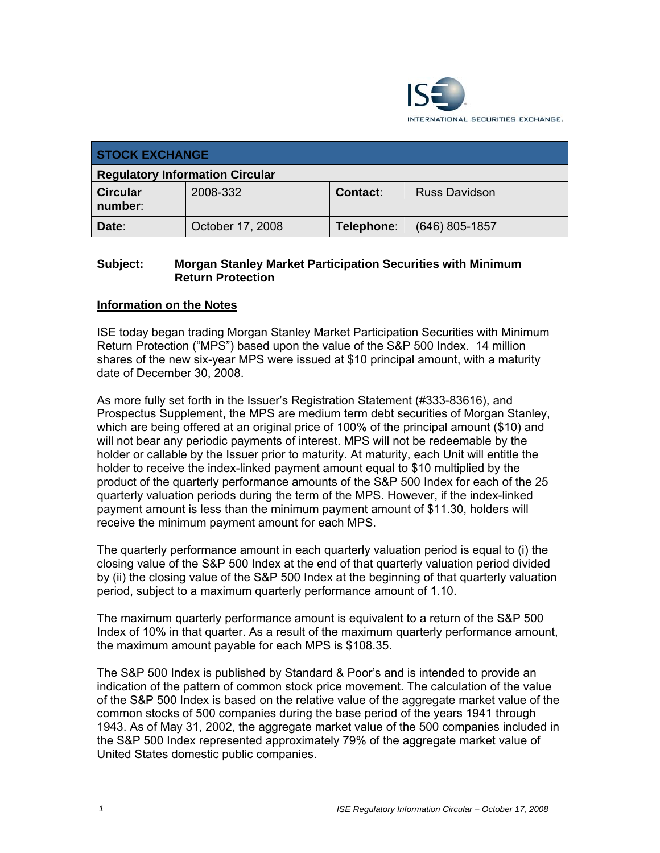

| <b>STOCK EXCHANGE</b>                  |                  |            |                      |  |
|----------------------------------------|------------------|------------|----------------------|--|
| <b>Regulatory Information Circular</b> |                  |            |                      |  |
| <b>Circular</b><br>number:             | 2008-332         | Contact:   | <b>Russ Davidson</b> |  |
| Date:                                  | October 17, 2008 | Telephone: | $(646)$ 805-1857     |  |

## **Subject: Morgan Stanley Market Participation Securities with Minimum Return Protection**

## **Information on the Notes**

ISE today began trading Morgan Stanley Market Participation Securities with Minimum Return Protection ("MPS") based upon the value of the S&P 500 Index. 14 million shares of the new six-year MPS were issued at \$10 principal amount, with a maturity date of December 30, 2008.

As more fully set forth in the Issuer's Registration Statement (#333-83616), and Prospectus Supplement, the MPS are medium term debt securities of Morgan Stanley, which are being offered at an original price of 100% of the principal amount (\$10) and will not bear any periodic payments of interest. MPS will not be redeemable by the holder or callable by the Issuer prior to maturity. At maturity, each Unit will entitle the holder to receive the index-linked payment amount equal to \$10 multiplied by the product of the quarterly performance amounts of the S&P 500 Index for each of the 25 quarterly valuation periods during the term of the MPS. However, if the index-linked payment amount is less than the minimum payment amount of \$11.30, holders will receive the minimum payment amount for each MPS.

The quarterly performance amount in each quarterly valuation period is equal to (i) the closing value of the S&P 500 Index at the end of that quarterly valuation period divided by (ii) the closing value of the S&P 500 Index at the beginning of that quarterly valuation period, subject to a maximum quarterly performance amount of 1.10.

The maximum quarterly performance amount is equivalent to a return of the S&P 500 Index of 10% in that quarter. As a result of the maximum quarterly performance amount, the maximum amount payable for each MPS is \$108.35.

The S&P 500 Index is published by Standard & Poor's and is intended to provide an indication of the pattern of common stock price movement. The calculation of the value of the S&P 500 Index is based on the relative value of the aggregate market value of the common stocks of 500 companies during the base period of the years 1941 through 1943. As of May 31, 2002, the aggregate market value of the 500 companies included in the S&P 500 Index represented approximately 79% of the aggregate market value of United States domestic public companies.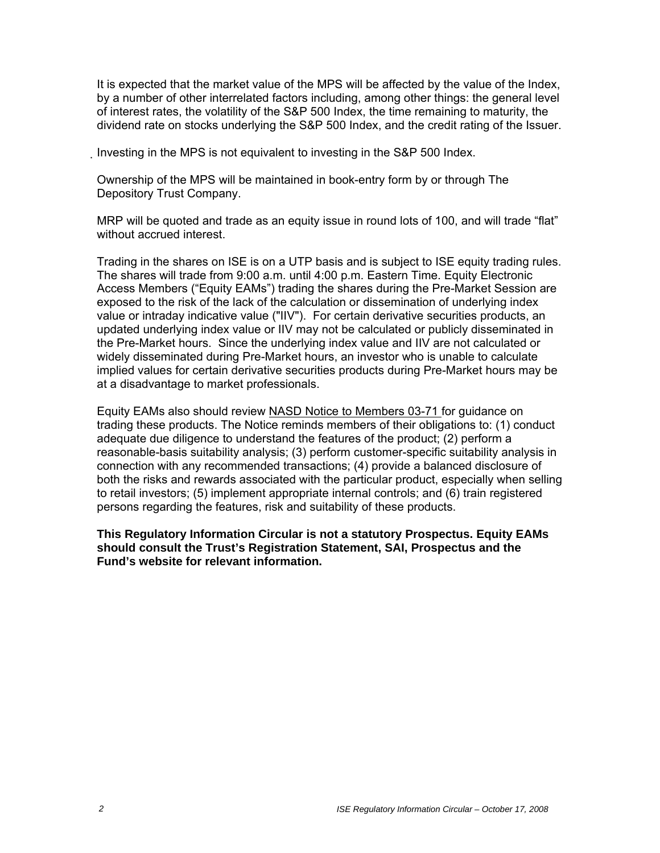It is expected that the market value of the MPS will be affected by the value of the Index, by a number of other interrelated factors including, among other things: the general level of interest rates, the volatility of the S&P 500 Index, the time remaining to maturity, the dividend rate on stocks underlying the S&P 500 Index, and the credit rating of the Issuer.

Investing in the MPS is not equivalent to investing in the S&P 500 Index.

Ownership of the MPS will be maintained in book-entry form by or through The Depository Trust Company.

MRP will be quoted and trade as an equity issue in round lots of 100, and will trade "flat" without accrued interest.

Trading in the shares on ISE is on a UTP basis and is subject to ISE equity trading rules. The shares will trade from 9:00 a.m. until 4:00 p.m. Eastern Time. Equity Electronic Access Members ("Equity EAMs") trading the shares during the Pre-Market Session are exposed to the risk of the lack of the calculation or dissemination of underlying index value or intraday indicative value ("IIV"). For certain derivative securities products, an updated underlying index value or IIV may not be calculated or publicly disseminated in the Pre-Market hours. Since the underlying index value and IIV are not calculated or widely disseminated during Pre-Market hours, an investor who is unable to calculate implied values for certain derivative securities products during Pre-Market hours may be at a disadvantage to market professionals.

Equity EAMs also should review NASD Notice to Members 03-71 for guidance on trading these products. The Notice reminds members of their obligations to: (1) conduct adequate due diligence to understand the features of the product; (2) perform a reasonable-basis suitability analysis; (3) perform customer-specific suitability analysis in connection with any recommended transactions; (4) provide a balanced disclosure of both the risks and rewards associated with the particular product, especially when selling to retail investors; (5) implement appropriate internal controls; and (6) train registered persons regarding the features, risk and suitability of these products.

**This Regulatory Information Circular is not a statutory Prospectus. Equity EAMs should consult the Trust's Registration Statement, SAI, Prospectus and the Fund's website for relevant information.**